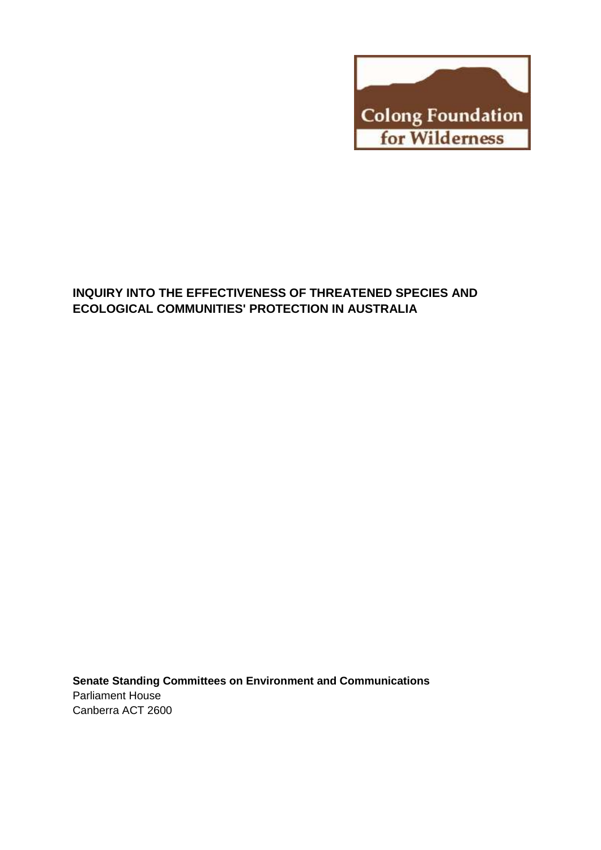

# **INQUIRY INTO THE EFFECTIVENESS OF THREATENED SPECIES AND ECOLOGICAL COMMUNITIES' PROTECTION IN AUSTRALIA**

**Senate Standing Committees on Environment and Communications** Parliament House Canberra ACT 2600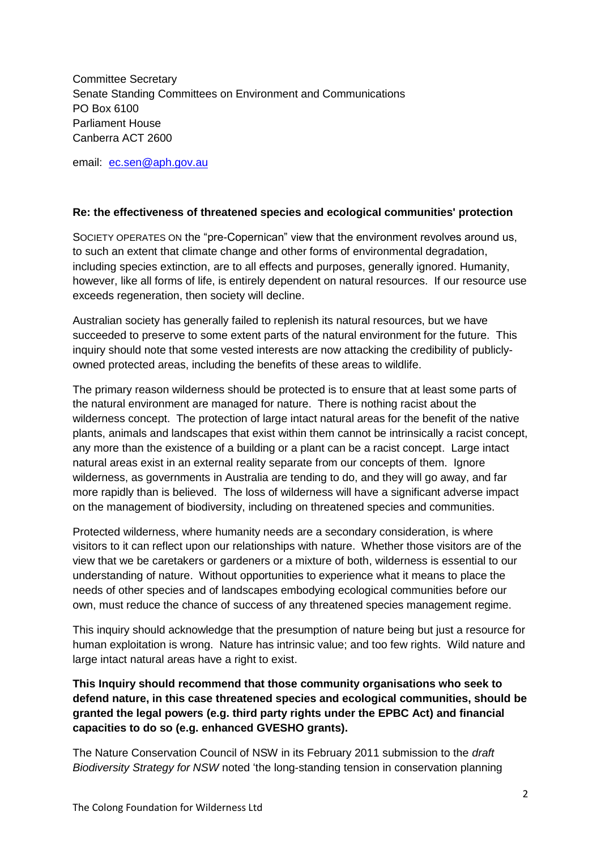Committee Secretary Senate Standing Committees on Environment and Communications PO Box 6100 Parliament House Canberra ACT 2600

email: [ec.sen@aph.gov.au](mailto:ec.sen@aph.gov.au)

#### **Re: the effectiveness of threatened species and ecological communities' protection**

SOCIETY OPERATES ON the "pre-Copernican" view that the environment revolves around us, to such an extent that climate change and other forms of environmental degradation, including species extinction, are to all effects and purposes, generally ignored. Humanity, however, like all forms of life, is entirely dependent on natural resources. If our resource use exceeds regeneration, then society will decline.

Australian society has generally failed to replenish its natural resources, but we have succeeded to preserve to some extent parts of the natural environment for the future. This inquiry should note that some vested interests are now attacking the credibility of publiclyowned protected areas, including the benefits of these areas to wildlife.

The primary reason wilderness should be protected is to ensure that at least some parts of the natural environment are managed for nature. There is nothing racist about the wilderness concept. The protection of large intact natural areas for the benefit of the native plants, animals and landscapes that exist within them cannot be intrinsically a racist concept, any more than the existence of a building or a plant can be a racist concept. Large intact natural areas exist in an external reality separate from our concepts of them. Ignore wilderness, as governments in Australia are tending to do, and they will go away, and far more rapidly than is believed. The loss of wilderness will have a significant adverse impact on the management of biodiversity, including on threatened species and communities.

Protected wilderness, where humanity needs are a secondary consideration, is where visitors to it can reflect upon our relationships with nature. Whether those visitors are of the view that we be caretakers or gardeners or a mixture of both, wilderness is essential to our understanding of nature. Without opportunities to experience what it means to place the needs of other species and of landscapes embodying ecological communities before our own, must reduce the chance of success of any threatened species management regime.

This inquiry should acknowledge that the presumption of nature being but just a resource for human exploitation is wrong. Nature has intrinsic value; and too few rights. Wild nature and large intact natural areas have a right to exist.

**This Inquiry should recommend that those community organisations who seek to defend nature, in this case threatened species and ecological communities, should be granted the legal powers (e.g. third party rights under the EPBC Act) and financial capacities to do so (e.g. enhanced GVESHO grants).** 

The Nature Conservation Council of NSW in its February 2011 submission to the *draft Biodiversity Strategy for NSW* noted 'the long-standing tension in conservation planning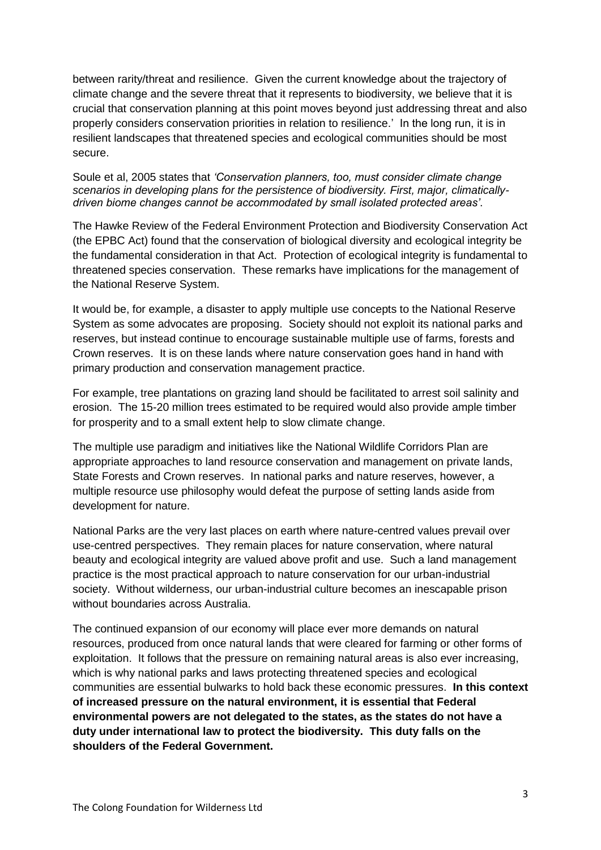between rarity/threat and resilience. Given the current knowledge about the trajectory of climate change and the severe threat that it represents to biodiversity, we believe that it is crucial that conservation planning at this point moves beyond just addressing threat and also properly considers conservation priorities in relation to resilience.' In the long run, it is in resilient landscapes that threatened species and ecological communities should be most secure.

Soule et al, 2005 states that *'Conservation planners, too, must consider climate change scenarios in developing plans for the persistence of biodiversity. First, major, climaticallydriven biome changes cannot be accommodated by small isolated protected areas'*.

The Hawke Review of the Federal Environment Protection and Biodiversity Conservation Act (the EPBC Act) found that the conservation of biological diversity and ecological integrity be the fundamental consideration in that Act. Protection of ecological integrity is fundamental to threatened species conservation. These remarks have implications for the management of the National Reserve System.

It would be, for example, a disaster to apply multiple use concepts to the National Reserve System as some advocates are proposing. Society should not exploit its national parks and reserves, but instead continue to encourage sustainable multiple use of farms, forests and Crown reserves. It is on these lands where nature conservation goes hand in hand with primary production and conservation management practice.

For example, tree plantations on grazing land should be facilitated to arrest soil salinity and erosion. The 15-20 million trees estimated to be required would also provide ample timber for prosperity and to a small extent help to slow climate change.

The multiple use paradigm and initiatives like the National Wildlife Corridors Plan are appropriate approaches to land resource conservation and management on private lands, State Forests and Crown reserves. In national parks and nature reserves, however, a multiple resource use philosophy would defeat the purpose of setting lands aside from development for nature.

National Parks are the very last places on earth where nature-centred values prevail over use-centred perspectives. They remain places for nature conservation, where natural beauty and ecological integrity are valued above profit and use. Such a land management practice is the most practical approach to nature conservation for our urban-industrial society. Without wilderness, our urban-industrial culture becomes an inescapable prison without boundaries across Australia.

The continued expansion of our economy will place ever more demands on natural resources, produced from once natural lands that were cleared for farming or other forms of exploitation. It follows that the pressure on remaining natural areas is also ever increasing, which is why national parks and laws protecting threatened species and ecological communities are essential bulwarks to hold back these economic pressures. **In this context of increased pressure on the natural environment, it is essential that Federal environmental powers are not delegated to the states, as the states do not have a duty under international law to protect the biodiversity. This duty falls on the shoulders of the Federal Government.**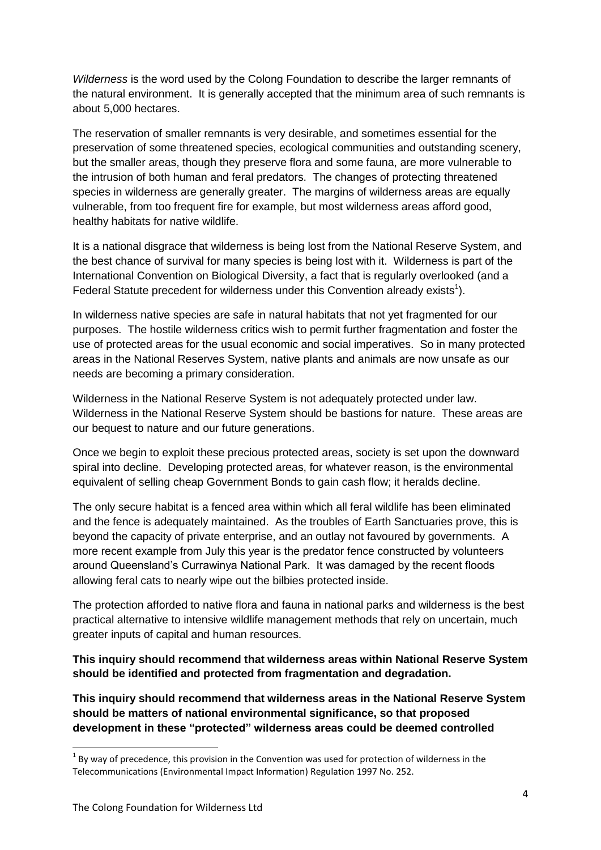*Wilderness* is the word used by the Colong Foundation to describe the larger remnants of the natural environment. It is generally accepted that the minimum area of such remnants is about 5,000 hectares.

The reservation of smaller remnants is very desirable, and sometimes essential for the preservation of some threatened species, ecological communities and outstanding scenery, but the smaller areas, though they preserve flora and some fauna, are more vulnerable to the intrusion of both human and feral predators. The changes of protecting threatened species in wilderness are generally greater. The margins of wilderness areas are equally vulnerable, from too frequent fire for example, but most wilderness areas afford good, healthy habitats for native wildlife.

It is a national disgrace that wilderness is being lost from the National Reserve System, and the best chance of survival for many species is being lost with it. Wilderness is part of the International Convention on Biological Diversity, a fact that is regularly overlooked (and a Federal Statute precedent for wilderness under this Convention already exists<sup>1</sup>).

In wilderness native species are safe in natural habitats that not yet fragmented for our purposes. The hostile wilderness critics wish to permit further fragmentation and foster the use of protected areas for the usual economic and social imperatives. So in many protected areas in the National Reserves System, native plants and animals are now unsafe as our needs are becoming a primary consideration.

Wilderness in the National Reserve System is not adequately protected under law. Wilderness in the National Reserve System should be bastions for nature. These areas are our bequest to nature and our future generations.

Once we begin to exploit these precious protected areas, society is set upon the downward spiral into decline. Developing protected areas, for whatever reason, is the environmental equivalent of selling cheap Government Bonds to gain cash flow; it heralds decline.

The only secure habitat is a fenced area within which all feral wildlife has been eliminated and the fence is adequately maintained. As the troubles of Earth Sanctuaries prove, this is beyond the capacity of private enterprise, and an outlay not favoured by governments. A more recent example from July this year is the predator fence constructed by volunteers around Queensland's Currawinya National Park. It was damaged by the recent floods allowing feral cats to nearly wipe out the bilbies protected inside.

The protection afforded to native flora and fauna in national parks and wilderness is the best practical alternative to intensive wildlife management methods that rely on uncertain, much greater inputs of capital and human resources.

**This inquiry should recommend that wilderness areas within National Reserve System should be identified and protected from fragmentation and degradation.**

**This inquiry should recommend that wilderness areas in the National Reserve System should be matters of national environmental significance, so that proposed development in these "protected" wilderness areas could be deemed controlled** 

1

 $1$  By way of precedence, this provision in the Convention was used for protection of wilderness in the Telecommunications (Environmental Impact Information) Regulation 1997 No. 252.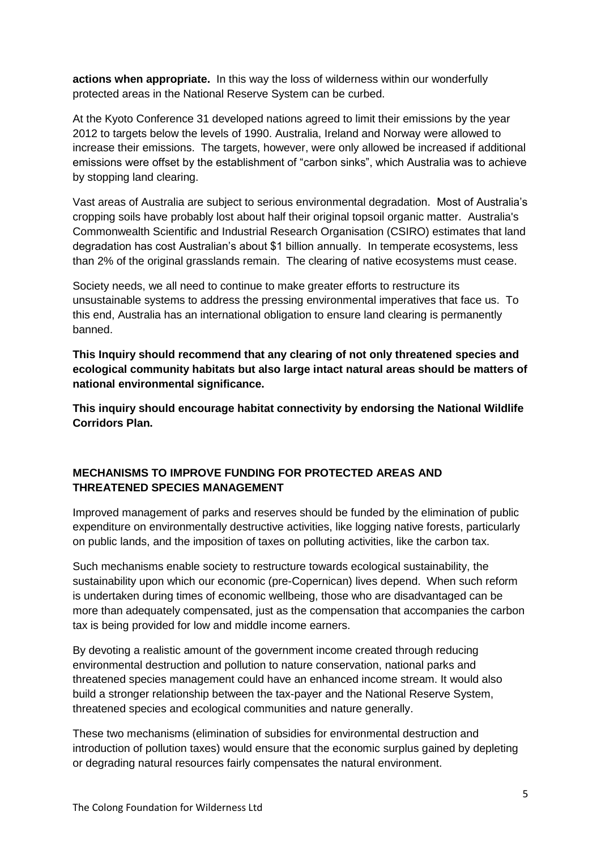**actions when appropriate.** In this way the loss of wilderness within our wonderfully protected areas in the National Reserve System can be curbed.

At the Kyoto Conference 31 developed nations agreed to limit their emissions by the year 2012 to targets below the levels of 1990. Australia, Ireland and Norway were allowed to increase their emissions. The targets, however, were only allowed be increased if additional emissions were offset by the establishment of "carbon sinks", which Australia was to achieve by stopping land clearing.

Vast areas of Australia are subject to serious environmental degradation. Most of Australia's cropping soils have probably lost about half their original topsoil organic matter. Australia's Commonwealth Scientific and Industrial Research Organisation (CSIRO) estimates that land degradation has cost Australian's about \$1 billion annually. In temperate ecosystems, less than 2% of the original grasslands remain. The clearing of native ecosystems must cease.

Society needs, we all need to continue to make greater efforts to restructure its unsustainable systems to address the pressing environmental imperatives that face us. To this end, Australia has an international obligation to ensure land clearing is permanently banned.

**This Inquiry should recommend that any clearing of not only threatened species and ecological community habitats but also large intact natural areas should be matters of national environmental significance.**

**This inquiry should encourage habitat connectivity by endorsing the National Wildlife Corridors Plan.**

# **MECHANISMS TO IMPROVE FUNDING FOR PROTECTED AREAS AND THREATENED SPECIES MANAGEMENT**

Improved management of parks and reserves should be funded by the elimination of public expenditure on environmentally destructive activities, like logging native forests, particularly on public lands, and the imposition of taxes on polluting activities, like the carbon tax.

Such mechanisms enable society to restructure towards ecological sustainability, the sustainability upon which our economic (pre-Copernican) lives depend. When such reform is undertaken during times of economic wellbeing, those who are disadvantaged can be more than adequately compensated, just as the compensation that accompanies the carbon tax is being provided for low and middle income earners.

By devoting a realistic amount of the government income created through reducing environmental destruction and pollution to nature conservation, national parks and threatened species management could have an enhanced income stream. It would also build a stronger relationship between the tax-payer and the National Reserve System, threatened species and ecological communities and nature generally.

These two mechanisms (elimination of subsidies for environmental destruction and introduction of pollution taxes) would ensure that the economic surplus gained by depleting or degrading natural resources fairly compensates the natural environment.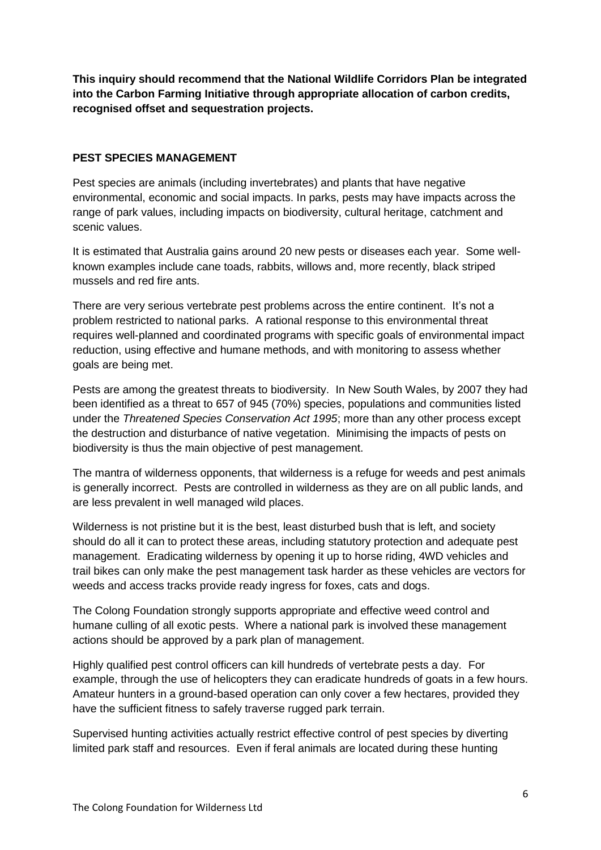**This inquiry should recommend that the National Wildlife Corridors Plan be integrated into the Carbon Farming Initiative through appropriate allocation of carbon credits, recognised offset and sequestration projects.**

#### **PEST SPECIES MANAGEMENT**

Pest species are animals (including invertebrates) and plants that have negative environmental, economic and social impacts. In parks, pests may have impacts across the range of park values, including impacts on biodiversity, cultural heritage, catchment and scenic values.

It is estimated that Australia gains around 20 new pests or diseases each year. Some wellknown examples include cane toads, rabbits, willows and, more recently, black striped mussels and red fire ants.

There are very serious vertebrate pest problems across the entire continent. It's not a problem restricted to national parks. A rational response to this environmental threat requires well-planned and coordinated programs with specific goals of environmental impact reduction, using effective and humane methods, and with monitoring to assess whether goals are being met.

Pests are among the greatest threats to biodiversity. In New South Wales, by 2007 they had been identified as a threat to 657 of 945 (70%) species, populations and communities listed under the *Threatened Species Conservation Act 1995*; more than any other process except the destruction and disturbance of native vegetation. Minimising the impacts of pests on biodiversity is thus the main objective of pest management.

The mantra of wilderness opponents, that wilderness is a refuge for weeds and pest animals is generally incorrect. Pests are controlled in wilderness as they are on all public lands, and are less prevalent in well managed wild places.

Wilderness is not pristine but it is the best, least disturbed bush that is left, and society should do all it can to protect these areas, including statutory protection and adequate pest management. Eradicating wilderness by opening it up to horse riding, 4WD vehicles and trail bikes can only make the pest management task harder as these vehicles are vectors for weeds and access tracks provide ready ingress for foxes, cats and dogs.

The Colong Foundation strongly supports appropriate and effective weed control and humane culling of all exotic pests. Where a national park is involved these management actions should be approved by a park plan of management.

Highly qualified pest control officers can kill hundreds of vertebrate pests a day. For example, through the use of helicopters they can eradicate hundreds of goats in a few hours. Amateur hunters in a ground-based operation can only cover a few hectares, provided they have the sufficient fitness to safely traverse rugged park terrain.

Supervised hunting activities actually restrict effective control of pest species by diverting limited park staff and resources. Even if feral animals are located during these hunting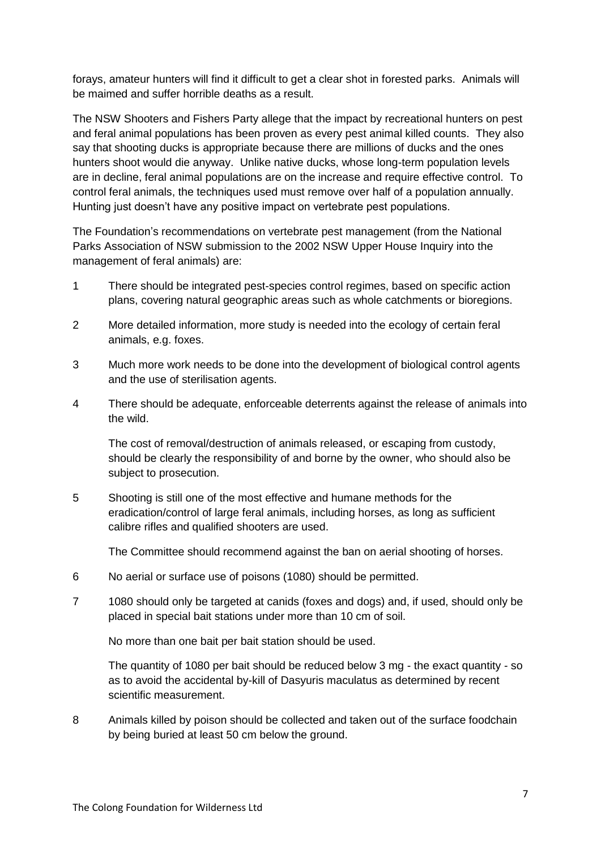forays, amateur hunters will find it difficult to get a clear shot in forested parks. Animals will be maimed and suffer horrible deaths as a result.

The NSW Shooters and Fishers Party allege that the impact by recreational hunters on pest and feral animal populations has been proven as every pest animal killed counts. They also say that shooting ducks is appropriate because there are millions of ducks and the ones hunters shoot would die anyway. Unlike native ducks, whose long-term population levels are in decline, feral animal populations are on the increase and require effective control. To control feral animals, the techniques used must remove over half of a population annually. Hunting just doesn't have any positive impact on vertebrate pest populations.

The Foundation's recommendations on vertebrate pest management (from the National Parks Association of NSW submission to the 2002 NSW Upper House Inquiry into the management of feral animals) are:

- 1 There should be integrated pest-species control regimes, based on specific action plans, covering natural geographic areas such as whole catchments or bioregions.
- 2 More detailed information, more study is needed into the ecology of certain feral animals, e.g. foxes.
- 3 Much more work needs to be done into the development of biological control agents and the use of sterilisation agents.
- 4 There should be adequate, enforceable deterrents against the release of animals into the wild.

The cost of removal/destruction of animals released, or escaping from custody, should be clearly the responsibility of and borne by the owner, who should also be subject to prosecution.

5 Shooting is still one of the most effective and humane methods for the eradication/control of large feral animals, including horses, as long as sufficient calibre rifles and qualified shooters are used.

The Committee should recommend against the ban on aerial shooting of horses.

- 6 No aerial or surface use of poisons (1080) should be permitted.
- 7 1080 should only be targeted at canids (foxes and dogs) and, if used, should only be placed in special bait stations under more than 10 cm of soil.

No more than one bait per bait station should be used.

The quantity of 1080 per bait should be reduced below 3 mg - the exact quantity - so as to avoid the accidental by-kill of Dasyuris maculatus as determined by recent scientific measurement.

8 Animals killed by poison should be collected and taken out of the surface foodchain by being buried at least 50 cm below the ground.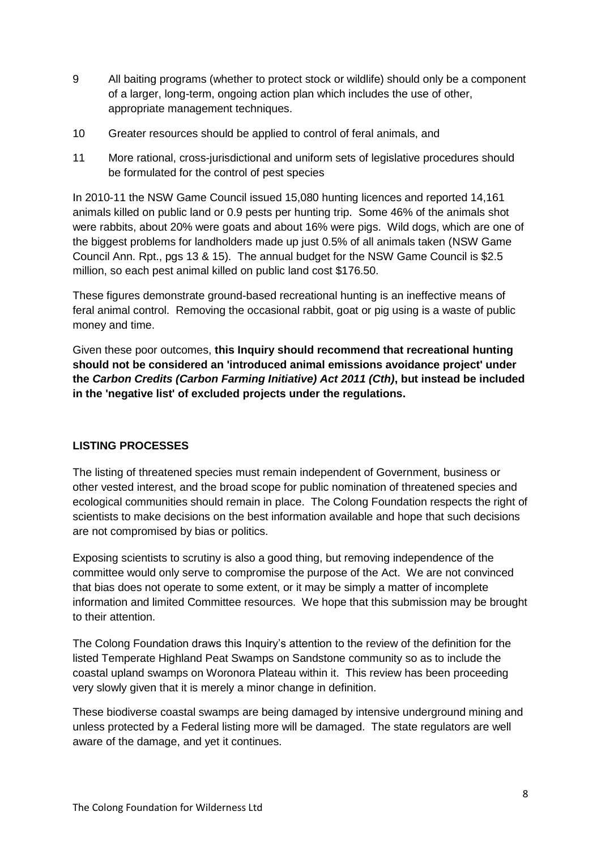- 9 All baiting programs (whether to protect stock or wildlife) should only be a component of a larger, long-term, ongoing action plan which includes the use of other, appropriate management techniques.
- 10 Greater resources should be applied to control of feral animals, and
- 11 More rational, cross-jurisdictional and uniform sets of legislative procedures should be formulated for the control of pest species

In 2010-11 the NSW Game Council issued 15,080 hunting licences and reported 14,161 animals killed on public land or 0.9 pests per hunting trip. Some 46% of the animals shot were rabbits, about 20% were goats and about 16% were pigs. Wild dogs, which are one of the biggest problems for landholders made up just 0.5% of all animals taken (NSW Game Council Ann. Rpt., pgs 13 & 15). The annual budget for the NSW Game Council is \$2.5 million, so each pest animal killed on public land cost \$176.50.

These figures demonstrate ground-based recreational hunting is an ineffective means of feral animal control. Removing the occasional rabbit, goat or pig using is a waste of public money and time.

Given these poor outcomes, **this Inquiry should recommend that recreational hunting should not be considered an 'introduced animal emissions avoidance project' under the** *Carbon Credits (Carbon Farming Initiative) Act 2011 (Cth)***, but instead be included in the 'negative list' of excluded projects under the regulations.**

# **LISTING PROCESSES**

The listing of threatened species must remain independent of Government, business or other vested interest, and the broad scope for public nomination of threatened species and ecological communities should remain in place. The Colong Foundation respects the right of scientists to make decisions on the best information available and hope that such decisions are not compromised by bias or politics.

Exposing scientists to scrutiny is also a good thing, but removing independence of the committee would only serve to compromise the purpose of the Act. We are not convinced that bias does not operate to some extent, or it may be simply a matter of incomplete information and limited Committee resources. We hope that this submission may be brought to their attention.

The Colong Foundation draws this Inquiry's attention to the review of the definition for the listed Temperate Highland Peat Swamps on Sandstone community so as to include the coastal upland swamps on Woronora Plateau within it. This review has been proceeding very slowly given that it is merely a minor change in definition.

These biodiverse coastal swamps are being damaged by intensive underground mining and unless protected by a Federal listing more will be damaged. The state regulators are well aware of the damage, and yet it continues.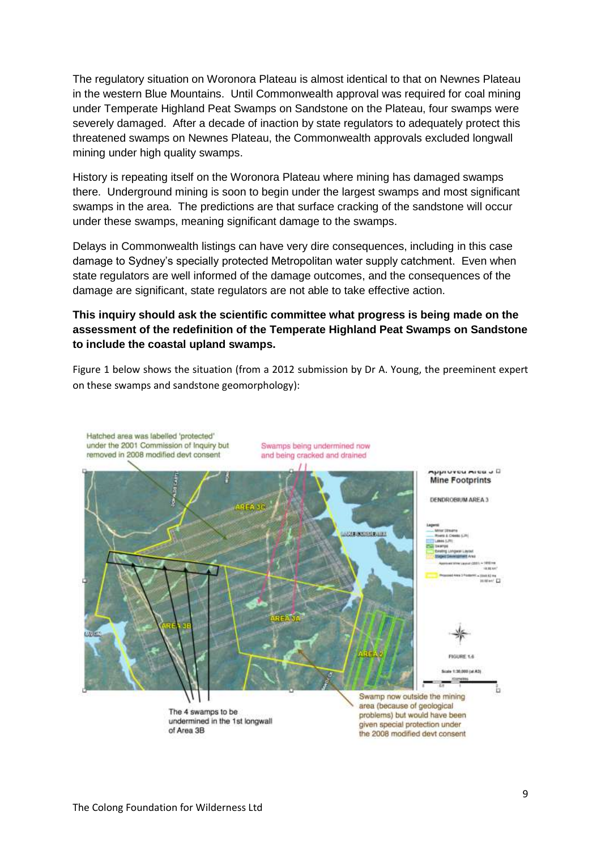The regulatory situation on Woronora Plateau is almost identical to that on Newnes Plateau in the western Blue Mountains. Until Commonwealth approval was required for coal mining under Temperate Highland Peat Swamps on Sandstone on the Plateau, four swamps were severely damaged. After a decade of inaction by state regulators to adequately protect this threatened swamps on Newnes Plateau, the Commonwealth approvals excluded longwall mining under high quality swamps.

History is repeating itself on the Woronora Plateau where mining has damaged swamps there. Underground mining is soon to begin under the largest swamps and most significant swamps in the area. The predictions are that surface cracking of the sandstone will occur under these swamps, meaning significant damage to the swamps.

Delays in Commonwealth listings can have very dire consequences, including in this case damage to Sydney's specially protected Metropolitan water supply catchment. Even when state regulators are well informed of the damage outcomes, and the consequences of the damage are significant, state regulators are not able to take effective action.

# **This inquiry should ask the scientific committee what progress is being made on the assessment of the redefinition of the Temperate Highland Peat Swamps on Sandstone to include the coastal upland swamps.**

Figure 1 below shows the situation (from a 2012 submission by Dr A. Young, the preeminent expert on these swamps and sandstone geomorphology):

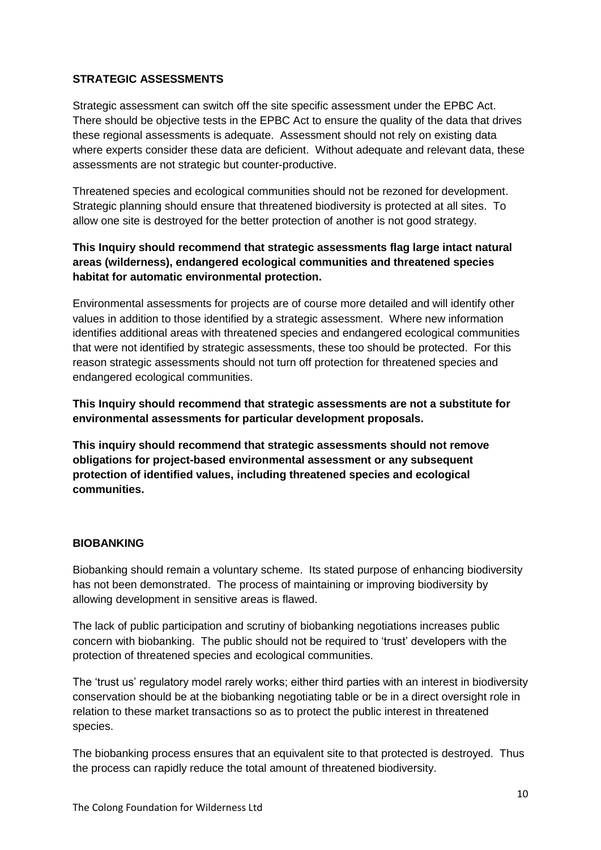### **STRATEGIC ASSESSMENTS**

Strategic assessment can switch off the site specific assessment under the EPBC Act. There should be objective tests in the EPBC Act to ensure the quality of the data that drives these regional assessments is adequate. Assessment should not rely on existing data where experts consider these data are deficient. Without adequate and relevant data, these assessments are not strategic but counter-productive.

Threatened species and ecological communities should not be rezoned for development. Strategic planning should ensure that threatened biodiversity is protected at all sites. To allow one site is destroyed for the better protection of another is not good strategy.

# **This Inquiry should recommend that strategic assessments flag large intact natural areas (wilderness), endangered ecological communities and threatened species habitat for automatic environmental protection.**

Environmental assessments for projects are of course more detailed and will identify other values in addition to those identified by a strategic assessment. Where new information identifies additional areas with threatened species and endangered ecological communities that were not identified by strategic assessments, these too should be protected. For this reason strategic assessments should not turn off protection for threatened species and endangered ecological communities.

**This Inquiry should recommend that strategic assessments are not a substitute for environmental assessments for particular development proposals.**

**This inquiry should recommend that strategic assessments should not remove obligations for project-based environmental assessment or any subsequent protection of identified values, including threatened species and ecological communities.**

# **BIOBANKING**

Biobanking should remain a voluntary scheme. Its stated purpose of enhancing biodiversity has not been demonstrated. The process of maintaining or improving biodiversity by allowing development in sensitive areas is flawed.

The lack of public participation and scrutiny of biobanking negotiations increases public concern with biobanking. The public should not be required to 'trust' developers with the protection of threatened species and ecological communities.

The 'trust us' regulatory model rarely works; either third parties with an interest in biodiversity conservation should be at the biobanking negotiating table or be in a direct oversight role in relation to these market transactions so as to protect the public interest in threatened species.

The biobanking process ensures that an equivalent site to that protected is destroyed. Thus the process can rapidly reduce the total amount of threatened biodiversity.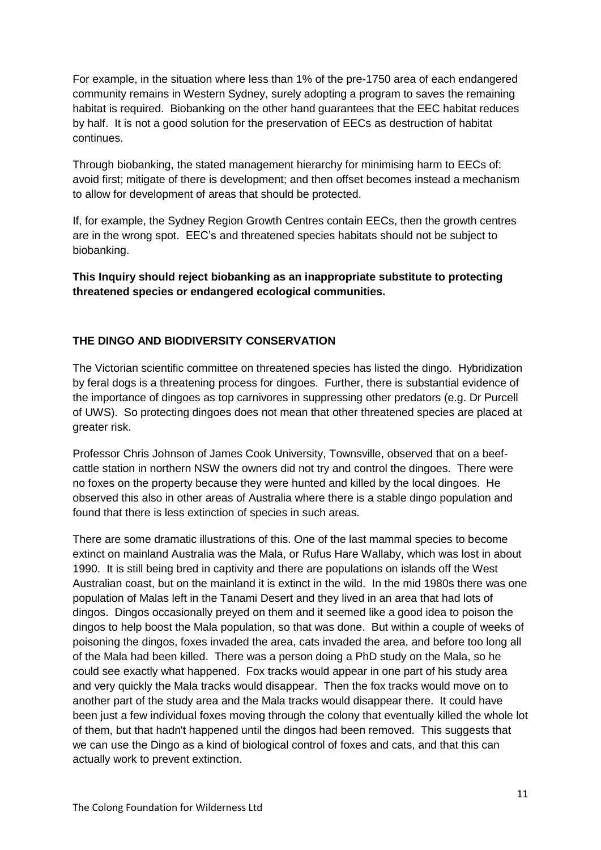For example, in the situation where less than 1% of the pre-1750 area of each endangered community remains in Western Sydney, surely adopting a program to saves the remaining habitat is required. Biobanking on the other hand guarantees that the EEC habitat reduces by half. It is not a good solution for the preservation of EECs as destruction of habitat continues.

Through biobanking, the stated management hierarchy for minimising harm to EECs of: avoid first; mitigate of there is development; and then offset becomes instead a mechanism to allow for development of areas that should be protected.

If, for example, the Sydney Region Growth Centres contain EECs, then the growth centres are in the wrong spot. EEC's and threatened species habitats should not be subject to biobanking.

**This Inquiry should reject biobanking as an inappropriate substitute to protecting threatened species or endangered ecological communities.**

# **THE DINGO AND BIODIVERSITY CONSERVATION**

The Victorian scientific committee on threatened species has listed the dingo. Hybridization by feral dogs is a threatening process for dingoes. Further, there is substantial evidence of the importance of dingoes as top carnivores in suppressing other predators (e.g. Dr Purcell of UWS). So protecting dingoes does not mean that other threatened species are placed at greater risk.

Professor Chris Johnson of James Cook University, Townsville, observed that on a beefcattle station in northern NSW the owners did not try and control the dingoes. There were no foxes on the property because they were hunted and killed by the local dingoes. He observed this also in other areas of Australia where there is a stable dingo population and found that there is less extinction of species in such areas.

There are some dramatic illustrations of this. One of the last mammal species to become extinct on mainland Australia was the Mala, or Rufus Hare Wallaby, which was lost in about 1990. It is still being bred in captivity and there are populations on islands off the West Australian coast, but on the mainland it is extinct in the wild. In the mid 1980s there was one population of Malas left in the Tanami Desert and they lived in an area that had lots of dingos. Dingos occasionally preyed on them and it seemed like a good idea to poison the dingos to help boost the Mala population, so that was done. But within a couple of weeks of poisoning the dingos, foxes invaded the area, cats invaded the area, and before too long all of the Mala had been killed. There was a person doing a PhD study on the Mala, so he could see exactly what happened. Fox tracks would appear in one part of his study area and very quickly the Mala tracks would disappear. Then the fox tracks would move on to another part of the study area and the Mala tracks would disappear there. It could have been just a few individual foxes moving through the colony that eventually killed the whole lot of them, but that hadn't happened until the dingos had been removed. This suggests that we can use the Dingo as a kind of biological control of foxes and cats, and that this can actually work to prevent extinction.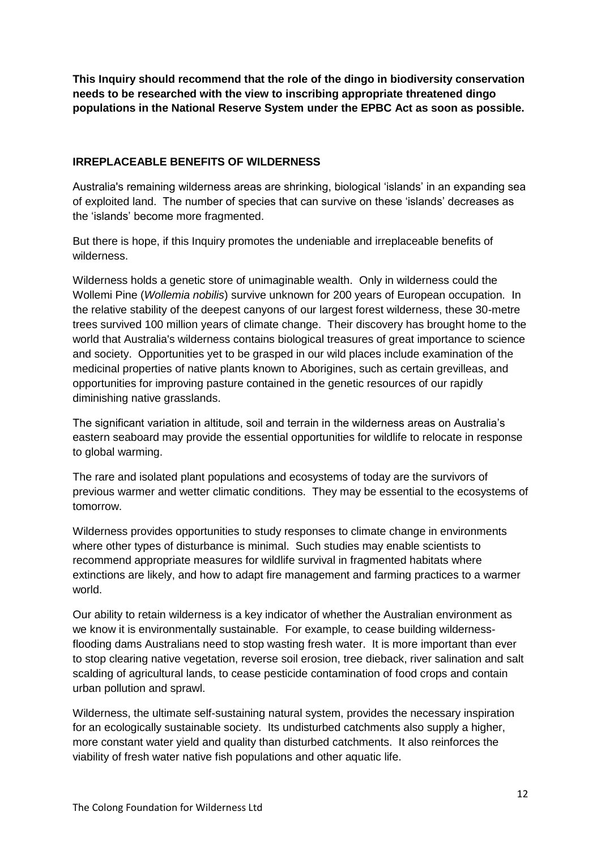**This Inquiry should recommend that the role of the dingo in biodiversity conservation needs to be researched with the view to inscribing appropriate threatened dingo populations in the National Reserve System under the EPBC Act as soon as possible.** 

### **IRREPLACEABLE BENEFITS OF WILDERNESS**

Australia's remaining wilderness areas are shrinking, biological 'islands' in an expanding sea of exploited land. The number of species that can survive on these 'islands' decreases as the 'islands' become more fragmented.

But there is hope, if this Inquiry promotes the undeniable and irreplaceable benefits of wilderness.

Wilderness holds a genetic store of unimaginable wealth. Only in wilderness could the Wollemi Pine (*Wollemia nobilis*) survive unknown for 200 years of European occupation. In the relative stability of the deepest canyons of our largest forest wilderness, these 30-metre trees survived 100 million years of climate change. Their discovery has brought home to the world that Australia's wilderness contains biological treasures of great importance to science and society. Opportunities yet to be grasped in our wild places include examination of the medicinal properties of native plants known to Aborigines, such as certain grevilleas, and opportunities for improving pasture contained in the genetic resources of our rapidly diminishing native grasslands.

The significant variation in altitude, soil and terrain in the wilderness areas on Australia's eastern seaboard may provide the essential opportunities for wildlife to relocate in response to global warming.

The rare and isolated plant populations and ecosystems of today are the survivors of previous warmer and wetter climatic conditions. They may be essential to the ecosystems of tomorrow.

Wilderness provides opportunities to study responses to climate change in environments where other types of disturbance is minimal. Such studies may enable scientists to recommend appropriate measures for wildlife survival in fragmented habitats where extinctions are likely, and how to adapt fire management and farming practices to a warmer world.

Our ability to retain wilderness is a key indicator of whether the Australian environment as we know it is environmentally sustainable. For example, to cease building wildernessflooding dams Australians need to stop wasting fresh water. It is more important than ever to stop clearing native vegetation, reverse soil erosion, tree dieback, river salination and salt scalding of agricultural lands, to cease pesticide contamination of food crops and contain urban pollution and sprawl.

Wilderness, the ultimate self-sustaining natural system, provides the necessary inspiration for an ecologically sustainable society. Its undisturbed catchments also supply a higher, more constant water yield and quality than disturbed catchments. It also reinforces the viability of fresh water native fish populations and other aquatic life.